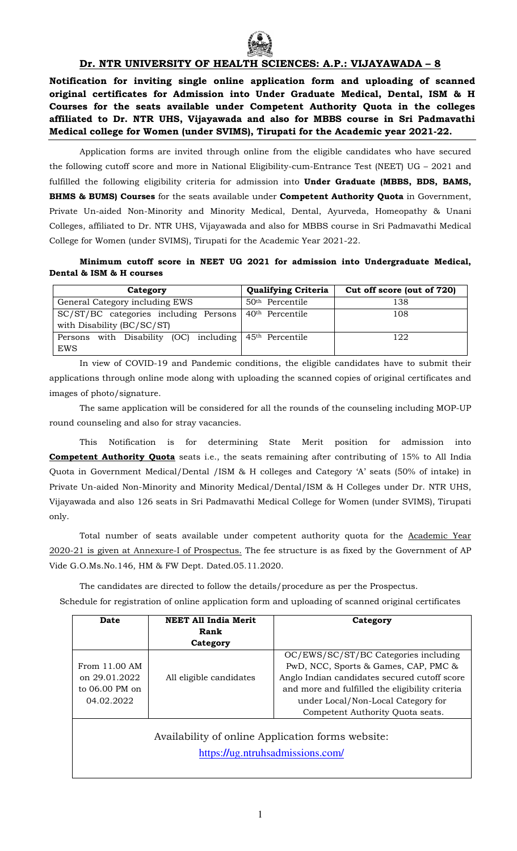

# **Dr. NTR UNIVERSITY OF HEALTH SCIENCES: A.P.: VIJAYAWADA – 8**

**Notification for inviting single online application form and uploading of scanned original certificates for Admission into Under Graduate Medical, Dental, ISM & H Courses for the seats available under Competent Authority Quota in the colleges affiliated to Dr. NTR UHS, Vijayawada and also for MBBS course in Sri Padmavathi Medical college for Women (under SVIMS), Tirupati for the Academic year 2021-22.** 

Application forms are invited through online from the eligible candidates who have secured the following cutoff score and more in National Eligibility-cum-Entrance Test (NEET) UG – 2021 and fulfilled the following eligibility criteria for admission into **Under Graduate (MBBS, BDS, BAMS, BHMS & BUMS) Courses** for the seats available under **Competent Authority Quota** in Government, Private Un-aided Non-Minority and Minority Medical, Dental, Ayurveda, Homeopathy & Unani Colleges, affiliated to Dr. NTR UHS, Vijayawada and also for MBBS course in Sri Padmavathi Medical College for Women (under SVIMS), Tirupati for the Academic Year 2021-22.

# **Minimum cutoff score in NEET UG 2021 for admission into Undergraduate Medical, Dental & ISM & H courses**

| Category                                                                  | <b>Qualifying Criteria</b>  | Cut off score (out of 720) |  |
|---------------------------------------------------------------------------|-----------------------------|----------------------------|--|
| General Category including EWS                                            | $50th$ Percentile           | 138                        |  |
| SC/ST/BC categories including Persons<br>with Disability (BC/SC/ST)       | 40 <sup>th</sup> Percentile | 108                        |  |
| Persons with Disability (OC) including 45 <sup>th</sup> Percentile<br>EWS |                             | 122                        |  |

In view of COVID-19 and Pandemic conditions, the eligible candidates have to submit their applications through online mode along with uploading the scanned copies of original certificates and images of photo/signature.

The same application will be considered for all the rounds of the counseling including MOP-UP round counseling and also for stray vacancies.

This Notification is for determining State Merit position for admission into **Competent Authority Quota** seats i.e., the seats remaining after contributing of 15% to All India Quota in Government Medical/Dental /ISM & H colleges and Category 'A' seats (50% of intake) in Private Un-aided Non-Minority and Minority Medical/Dental/ISM & H Colleges under Dr. NTR UHS, Vijayawada and also 126 seats in Sri Padmavathi Medical College for Women (under SVIMS), Tirupati only.

Total number of seats available under competent authority quota for the Academic Year 2020-21 is given at Annexure-I of Prospectus. The fee structure is as fixed by the Government of AP Vide G.O.Ms.No.146, HM & FW Dept. Dated.05.11.2020.

The candidates are directed to follow the details/procedure as per the Prospectus. Schedule for registration of online application form and uploading of scanned original certificates

| Date                                                                                  | <b>NEET All India Merit</b> | Category                                        |  |  |
|---------------------------------------------------------------------------------------|-----------------------------|-------------------------------------------------|--|--|
|                                                                                       | Rank                        |                                                 |  |  |
|                                                                                       | Category                    |                                                 |  |  |
|                                                                                       |                             | OC/EWS/SC/ST/BC Categories including            |  |  |
| From 11.00 AM                                                                         |                             | PwD, NCC, Sports & Games, CAP, PMC &            |  |  |
| on 29.01.2022                                                                         | All eligible candidates     | Anglo Indian candidates secured cutoff score    |  |  |
| to $06.00$ PM on                                                                      |                             | and more and fulfilled the eligibility criteria |  |  |
| 04.02.2022                                                                            |                             | under Local/Non-Local Category for              |  |  |
|                                                                                       |                             | Competent Authority Quota seats.                |  |  |
| Availability of online Application forms website:<br>https://ug.ntruhsadmissions.com/ |                             |                                                 |  |  |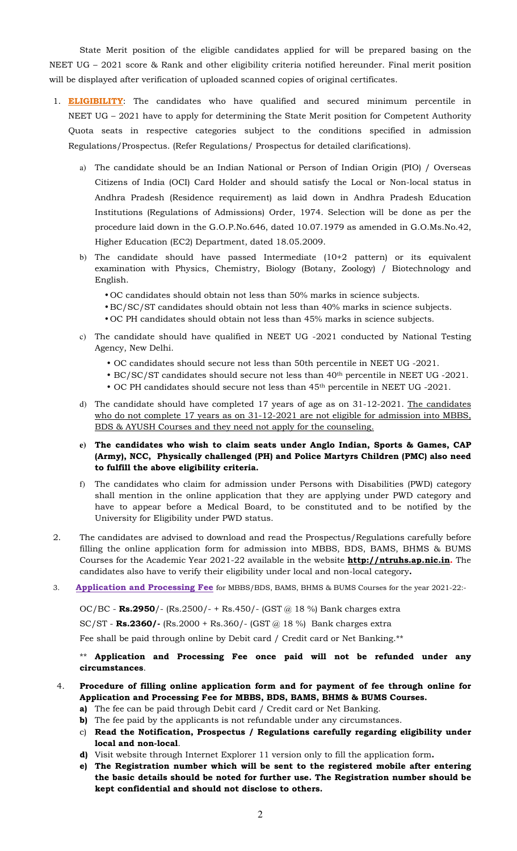State Merit position of the eligible candidates applied for will be prepared basing on the NEET UG – 2021 score & Rank and other eligibility criteria notified hereunder. Final merit position will be displayed after verification of uploaded scanned copies of original certificates.

- 1. **ELIGIBILITY**: The candidates who have qualified and secured minimum percentile in NEET UG – 2021 have to apply for determining the State Merit position for Competent Authority Quota seats in respective categories subject to the conditions specified in admission Regulations/Prospectus. (Refer Regulations/ Prospectus for detailed clarifications).
	- a) The candidate should be an Indian National or Person of Indian Origin (PIO) / Overseas Citizens of India (OCI) Card Holder and should satisfy the Local or Non-local status in Andhra Pradesh (Residence requirement) as laid down in Andhra Pradesh Education Institutions (Regulations of Admissions) Order, 1974. Selection will be done as per the procedure laid down in the G.O.P.No.646, dated 10.07.1979 as amended in G.O.Ms.No.42, Higher Education (EC2) Department, dated 18.05.2009.
	- b) The candidate should have passed Intermediate (10+2 pattern) or its equivalent examination with Physics, Chemistry, Biology (Botany, Zoology) / Biotechnology and English.
		- OC candidates should obtain not less than 50% marks in science subjects.
		- BC/SC/ST candidates should obtain not less than 40% marks in science subjects.
		- OC PH candidates should obtain not less than 45% marks in science subjects.
	- c) The candidate should have qualified in NEET UG -2021 conducted by National Testing Agency, New Delhi.
		- OC candidates should secure not less than 50th percentile in NEET UG -2021.
		- BC/SC/ST candidates should secure not less than 40th percentile in NEET UG -2021.
		- OC PH candidates should secure not less than 45th percentile in NEET UG -2021.
	- d) The candidate should have completed 17 years of age as on 31-12-2021. The candidates who do not complete 17 years as on 31-12-2021 are not eligible for admission into MBBS, BDS & AYUSH Courses and they need not apply for the counseling.
	- **e) The candidates who wish to claim seats under Anglo Indian, Sports & Games, CAP (Army), NCC, Physically challenged (PH) and Police Martyrs Children (PMC) also need to fulfill the above eligibility criteria.**
	- f) The candidates who claim for admission under Persons with Disabilities (PWD) category shall mention in the online application that they are applying under PWD category and have to appear before a Medical Board, to be constituted and to be notified by the University for Eligibility under PWD status.
- 2. The candidates are advised to download and read the Prospectus/Regulations carefully before filling the online application form for admission into MBBS, BDS, BAMS, BHMS & BUMS Courses for the Academic Year 2021-22 available in the website **http://ntruhs.ap.nic.in.** The candidates also have to verify their eligibility under local and non-local category**.**
- 3. **Application and Processing Fee** for MBBS/BDS, BAMS, BHMS & BUMS Courses for the year 2021-22:-

OC/BC - **Rs.2950**/- (Rs.2500/- + Rs.450/- (GST @ 18 %) Bank charges extra

SC/ST - **Rs.2360/-** (Rs.2000 + Rs.360/- (GST @ 18 %) Bank charges extra

Fee shall be paid through online by Debit card / Credit card or Net Banking.\*\*

\*\* **Application and Processing Fee once paid will not be refunded under any circumstances**.

## 4. **Procedure of filling online application form and for payment of fee through online for Application and Processing Fee for MBBS, BDS, BAMS, BHMS & BUMS Courses.**

- **a)** The fee can be paid through Debit card / Credit card or Net Banking.
- **b)** The fee paid by the applicants is not refundable under any circumstances.
- c) **Read the Notification, Prospectus / Regulations carefully regarding eligibility under local and non-local**.
- **d)** Visit website through Internet Explorer 11 version only to fill the application form**.**
- **e) The Registration number which will be sent to the registered mobile after entering the basic details should be noted for further use. The Registration number should be kept confidential and should not disclose to others.**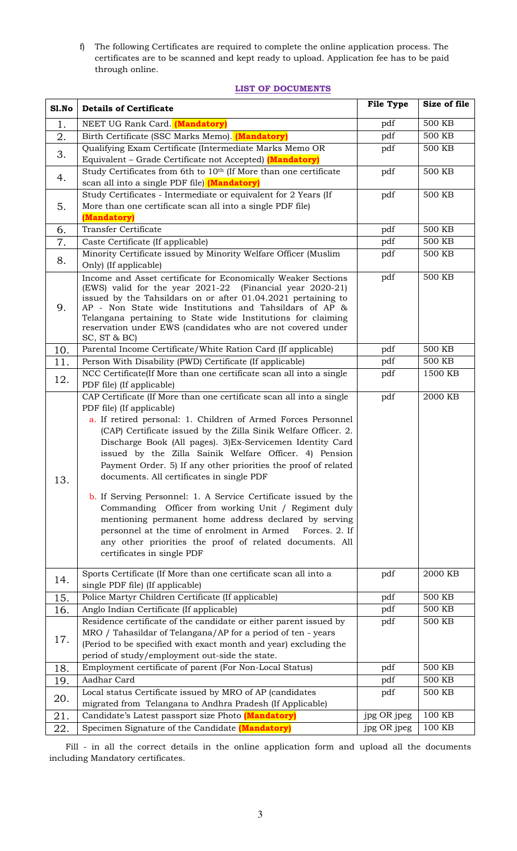f) The following Certificates are required to complete the online application process. The certificates are to be scanned and kept ready to upload. Application fee has to be paid through online.

# **LIST OF DOCUMENTS**

| Sl.No | <b>Details of Certificate</b>                                                                                                                                                                                                                                                                                                                                                                                                                                                                                                                                                                                                                                                                                                                                                                                                    | <b>File Type</b> | Size of file      |
|-------|----------------------------------------------------------------------------------------------------------------------------------------------------------------------------------------------------------------------------------------------------------------------------------------------------------------------------------------------------------------------------------------------------------------------------------------------------------------------------------------------------------------------------------------------------------------------------------------------------------------------------------------------------------------------------------------------------------------------------------------------------------------------------------------------------------------------------------|------------------|-------------------|
| 1.    | NEET UG Rank Card. (Mandatory)                                                                                                                                                                                                                                                                                                                                                                                                                                                                                                                                                                                                                                                                                                                                                                                                   | pdf              | 500 KB            |
| 2.    | Birth Certificate (SSC Marks Memo). (Mandatory)                                                                                                                                                                                                                                                                                                                                                                                                                                                                                                                                                                                                                                                                                                                                                                                  | pdf              | 500 KB            |
|       | Qualifying Exam Certificate (Intermediate Marks Memo OR                                                                                                                                                                                                                                                                                                                                                                                                                                                                                                                                                                                                                                                                                                                                                                          | pdf              | 500 KB            |
| 3.    | Equivalent - Grade Certificate not Accepted) (Mandatory)                                                                                                                                                                                                                                                                                                                                                                                                                                                                                                                                                                                                                                                                                                                                                                         |                  |                   |
|       | Study Certificates from 6th to 10th (If More than one certificate                                                                                                                                                                                                                                                                                                                                                                                                                                                                                                                                                                                                                                                                                                                                                                | pdf              | 500 KB            |
| 4.    | scan all into a single PDF file) (Mandatory)                                                                                                                                                                                                                                                                                                                                                                                                                                                                                                                                                                                                                                                                                                                                                                                     |                  |                   |
|       | Study Certificates - Intermediate or equivalent for 2 Years (If                                                                                                                                                                                                                                                                                                                                                                                                                                                                                                                                                                                                                                                                                                                                                                  | pdf              | 500 KB            |
| 5.    | More than one certificate scan all into a single PDF file)                                                                                                                                                                                                                                                                                                                                                                                                                                                                                                                                                                                                                                                                                                                                                                       |                  |                   |
|       | (Mandatory)                                                                                                                                                                                                                                                                                                                                                                                                                                                                                                                                                                                                                                                                                                                                                                                                                      |                  |                   |
| 6.    | <b>Transfer Certificate</b>                                                                                                                                                                                                                                                                                                                                                                                                                                                                                                                                                                                                                                                                                                                                                                                                      | pdf              | 500 KB            |
| 7.    | Caste Certificate (If applicable)                                                                                                                                                                                                                                                                                                                                                                                                                                                                                                                                                                                                                                                                                                                                                                                                | pdf              | <b>500 KB</b>     |
| 8.    | Minority Certificate issued by Minority Welfare Officer (Muslim                                                                                                                                                                                                                                                                                                                                                                                                                                                                                                                                                                                                                                                                                                                                                                  | pdf              | <b>500 KB</b>     |
|       | Only) (If applicable)                                                                                                                                                                                                                                                                                                                                                                                                                                                                                                                                                                                                                                                                                                                                                                                                            |                  |                   |
| 9.    | Income and Asset certificate for Economically Weaker Sections<br>(EWS) valid for the year 2021-22 (Financial year 2020-21)<br>issued by the Tahsildars on or after 01.04.2021 pertaining to<br>AP - Non State wide Institutions and Tahsildars of AP &<br>Telangana pertaining to State wide Institutions for claiming<br>reservation under EWS (candidates who are not covered under<br>SC, ST & BC)                                                                                                                                                                                                                                                                                                                                                                                                                            | pdf              | 500 KB            |
| 10.   | Parental Income Certificate/White Ration Card (If applicable)                                                                                                                                                                                                                                                                                                                                                                                                                                                                                                                                                                                                                                                                                                                                                                    | pdf              | <b>500 KB</b>     |
| 11.   | Person With Disability (PWD) Certificate (If applicable)                                                                                                                                                                                                                                                                                                                                                                                                                                                                                                                                                                                                                                                                                                                                                                         | pdf              | 500 KB            |
| 12.   | NCC Certificate(If More than one certificate scan all into a single<br>PDF file) (If applicable)                                                                                                                                                                                                                                                                                                                                                                                                                                                                                                                                                                                                                                                                                                                                 | pdf              | 1500 KB           |
| 13.   | CAP Certificate (If More than one certificate scan all into a single<br>PDF file) (If applicable)<br>a. If retired personal: 1. Children of Armed Forces Personnel<br>(CAP) Certificate issued by the Zilla Sinik Welfare Officer. 2.<br>Discharge Book (All pages). 3)Ex-Servicemen Identity Card<br>issued by the Zilla Sainik Welfare Officer. 4) Pension<br>Payment Order. 5) If any other priorities the proof of related<br>documents. All certificates in single PDF<br><b>b.</b> If Serving Personnel: 1. A Service Certificate issued by the<br>Commanding Officer from working Unit / Regiment duly<br>mentioning permanent home address declared by serving<br>personnel at the time of enrolment in Armed<br>Forces. 2. If<br>any other priorities the proof of related documents. All<br>certificates in single PDF | pdf              | 2000 KB           |
| 14.   | Sports Certificate (If More than one certificate scan all into a<br>single PDF file) (If applicable)                                                                                                                                                                                                                                                                                                                                                                                                                                                                                                                                                                                                                                                                                                                             | pdf              | 2000 KB           |
| 15.   | Police Martyr Children Certificate (If applicable)                                                                                                                                                                                                                                                                                                                                                                                                                                                                                                                                                                                                                                                                                                                                                                               | pdf              | 500 KB            |
| 16.   | Anglo Indian Certificate (If applicable)                                                                                                                                                                                                                                                                                                                                                                                                                                                                                                                                                                                                                                                                                                                                                                                         | pdf              | 500 KB            |
|       | Residence certificate of the candidate or either parent issued by                                                                                                                                                                                                                                                                                                                                                                                                                                                                                                                                                                                                                                                                                                                                                                | pdf              | 500 KB            |
| 17.   | MRO / Tahasildar of Telangana/AP for a period of ten - years                                                                                                                                                                                                                                                                                                                                                                                                                                                                                                                                                                                                                                                                                                                                                                     |                  |                   |
|       | (Period to be specified with exact month and year) excluding the                                                                                                                                                                                                                                                                                                                                                                                                                                                                                                                                                                                                                                                                                                                                                                 |                  |                   |
|       | period of study/employment out-side the state.                                                                                                                                                                                                                                                                                                                                                                                                                                                                                                                                                                                                                                                                                                                                                                                   |                  |                   |
| 18.   | Employment certificate of parent (For Non-Local Status)                                                                                                                                                                                                                                                                                                                                                                                                                                                                                                                                                                                                                                                                                                                                                                          | pdf              | 500 KB            |
| 19.   | Aadhar Card                                                                                                                                                                                                                                                                                                                                                                                                                                                                                                                                                                                                                                                                                                                                                                                                                      | pdf              | 500 KB            |
| 20.   | Local status Certificate issued by MRO of AP (candidates<br>migrated from Telangana to Andhra Pradesh (If Applicable)                                                                                                                                                                                                                                                                                                                                                                                                                                                                                                                                                                                                                                                                                                            | pdf              | <b>500 KB</b>     |
| 21.   | Candidate's Latest passport size Photo (Mandatory)                                                                                                                                                                                                                                                                                                                                                                                                                                                                                                                                                                                                                                                                                                                                                                               | jpg OR jpeg      | 100 KB            |
| 22.   | Specimen Signature of the Candidate (Mandatory)                                                                                                                                                                                                                                                                                                                                                                                                                                                                                                                                                                                                                                                                                                                                                                                  | jpg OR jpeg      | $100~\mathrm{KB}$ |

 Fill - in all the correct details in the online application form and upload all the documents including Mandatory certificates.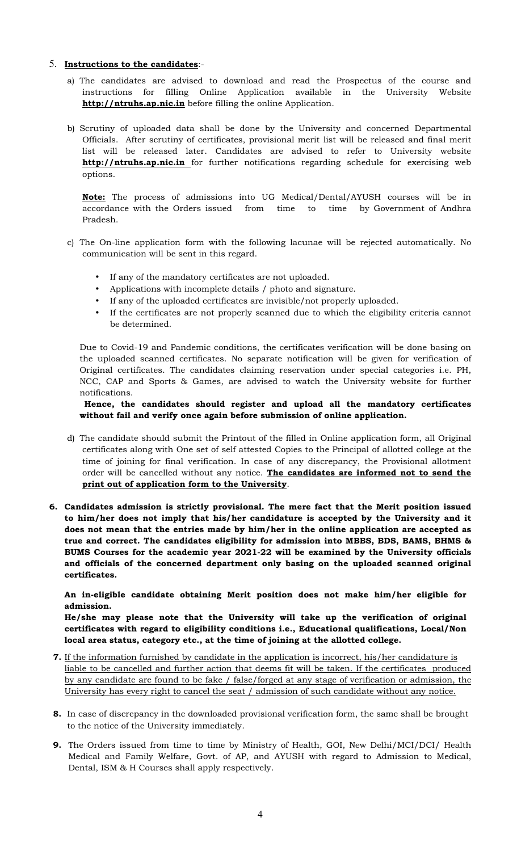## 5. **Instructions to the candidates**:-

- a) The candidates are advised to download and read the Prospectus of the course and instructions for filling Online Application available in the University Website **http://ntruhs.ap.nic.in** before filling the online Application.
- b) Scrutiny of uploaded data shall be done by the University and concerned Departmental Officials. After scrutiny of certificates, provisional merit list will be released and final merit list will be released later. Candidates are advised to refer to University website **http://ntruhs.ap.nic.in** for further notifications regarding schedule for exercising web options.

**Note:** The process of admissions into UG Medical/Dental/AYUSH courses will be in accordance with the Orders issued from time to time by Government of Andhra Pradesh.

- c) The On-line application form with the following lacunae will be rejected automatically. No communication will be sent in this regard.
	- If any of the mandatory certificates are not uploaded.
	- Applications with incomplete details / photo and signature.
	- If any of the uploaded certificates are invisible/not properly uploaded.
	- If the certificates are not properly scanned due to which the eligibility criteria cannot be determined.

Due to Covid-19 and Pandemic conditions, the certificates verification will be done basing on the uploaded scanned certificates. No separate notification will be given for verification of Original certificates. The candidates claiming reservation under special categories i.e. PH, NCC, CAP and Sports & Games, are advised to watch the University website for further notifications.

## **Hence, the candidates should register and upload all the mandatory certificates without fail and verify once again before submission of online application.**

- d) The candidate should submit the Printout of the filled in Online application form, all Original certificates along with One set of self attested Copies to the Principal of allotted college at the time of joining for final verification. In case of any discrepancy, the Provisional allotment order will be cancelled without any notice. **The candidates are informed not to send the print out of application form to the University**.
- **6. Candidates admission is strictly provisional. The mere fact that the Merit position issued to him/her does not imply that his/her candidature is accepted by the University and it does not mean that the entries made by him/her in the online application are accepted as true and correct. The candidates eligibility for admission into MBBS, BDS, BAMS, BHMS & BUMS Courses for the academic year 2021-22 will be examined by the University officials and officials of the concerned department only basing on the uploaded scanned original certificates.**

**An in-eligible candidate obtaining Merit position does not make him/her eligible for admission.** 

**He/she may please note that the University will take up the verification of original certificates with regard to eligibility conditions i.e., Educational qualifications, Local/Non local area status, category etc., at the time of joining at the allotted college.** 

- **7.** If the information furnished by candidate in the application is incorrect, his/her candidature is liable to be cancelled and further action that deems fit will be taken. If the certificates produced by any candidate are found to be fake / false/forged at any stage of verification or admission, the University has every right to cancel the seat / admission of such candidate without any notice.
- **8.** In case of discrepancy in the downloaded provisional verification form, the same shall be brought to the notice of the University immediately.
- **9.** The Orders issued from time to time by Ministry of Health, GOI, New Delhi/MCI/DCI/ Health Medical and Family Welfare, Govt. of AP, and AYUSH with regard to Admission to Medical, Dental, ISM & H Courses shall apply respectively.